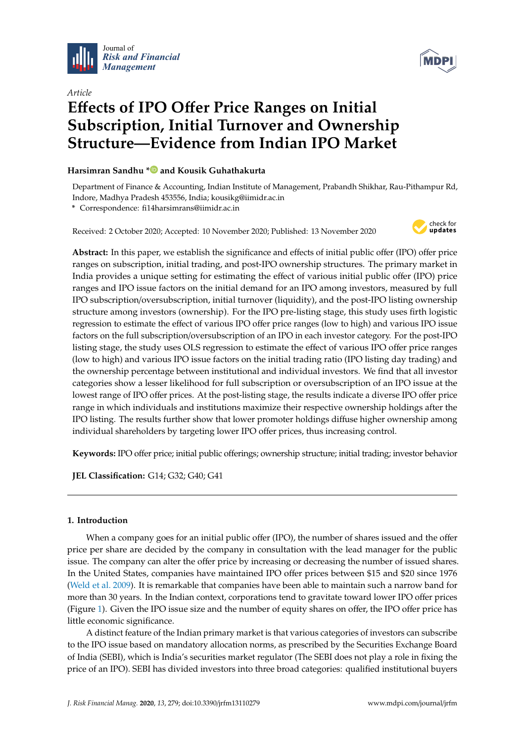



# *Article* **E**ff**ects of IPO O**ff**er Price Ranges on Initial Subscription, Initial Turnover and Ownership Structure—Evidence from Indian IPO Market**

### **Harsimran Sandhu \* and Kousik Guhathakurta**

Department of Finance & Accounting, Indian Institute of Management, Prabandh Shikhar, Rau-Pithampur Rd, Indore, Madhya Pradesh 453556, India; kousikg@iimidr.ac.in

**\*** Correspondence: fi14harsimrans@iimidr.ac.in

Received: 2 October 2020; Accepted: 10 November 2020; Published: 13 November 2020



**Abstract:** In this paper, we establish the significance and effects of initial public offer (IPO) offer price ranges on subscription, initial trading, and post-IPO ownership structures. The primary market in India provides a unique setting for estimating the effect of various initial public offer (IPO) price ranges and IPO issue factors on the initial demand for an IPO among investors, measured by full IPO subscription/oversubscription, initial turnover (liquidity), and the post-IPO listing ownership structure among investors (ownership). For the IPO pre-listing stage, this study uses firth logistic regression to estimate the effect of various IPO offer price ranges (low to high) and various IPO issue factors on the full subscription/oversubscription of an IPO in each investor category. For the post-IPO listing stage, the study uses OLS regression to estimate the effect of various IPO offer price ranges (low to high) and various IPO issue factors on the initial trading ratio (IPO listing day trading) and the ownership percentage between institutional and individual investors. We find that all investor categories show a lesser likelihood for full subscription or oversubscription of an IPO issue at the lowest range of IPO offer prices. At the post-listing stage, the results indicate a diverse IPO offer price range in which individuals and institutions maximize their respective ownership holdings after the IPO listing. The results further show that lower promoter holdings diffuse higher ownership among individual shareholders by targeting lower IPO offer prices, thus increasing control.

**Keywords:** IPO offer price; initial public offerings; ownership structure; initial trading; investor behavior

**JEL Classification:** G14; G32; G40; G41

### **1. Introduction**

When a company goes for an initial public offer (IPO), the number of shares issued and the offer price per share are decided by the company in consultation with the lead manager for the public issue. The company can alter the offer price by increasing or decreasing the number of issued shares. In the United States, companies have maintained IPO offer prices between \$15 and \$20 since 1976 (Weld et al. 2009). It is remarkable that companies have been able to maintain such a narrow band for more than 30 years. In the Indian context, corporations tend to gravitate toward lower IPO offer prices (Figure 1). Given the IPO issue size and the number of equity shares on offer, the IPO offer price has little economic significance.

A distinct feature of the Indian primary market is that various categories of investors can subscribe to the IPO issue based on mandatory allocation norms, as prescribed by the Securities Exchange Board of India (SEBI), which is India's securities market regulator (The SEBI does not play a role in fixing the price of an IPO). SEBI has divided investors into three broad categories: qualified institutional buyers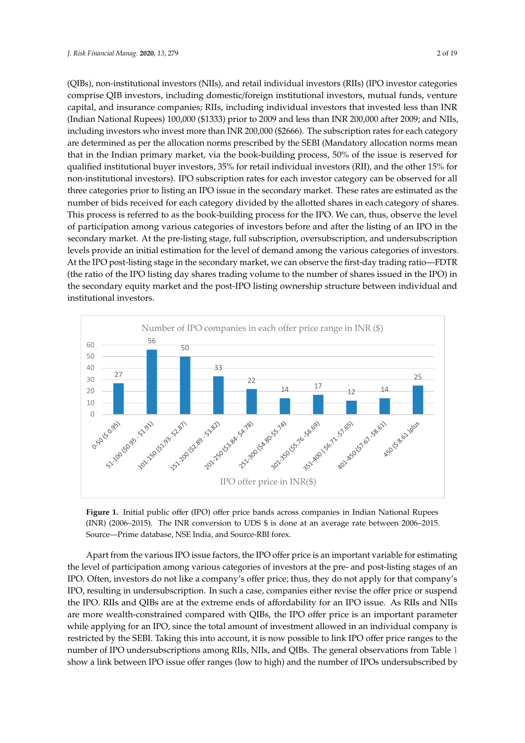(QIBs), non-institutional investors (NIIs), and retail individual investors (RIIs) (IPO investor categories comprise QIB investors, including domestic/foreign institutional investors, mutual funds, venture capital, and insurance companies; RIIs, including individual investors that invested less than INR (Indian National Rupees) 100,000 (\$1333) prior to 2009 and less than INR 200,000 after 2009; and NIIs, including investors who invest more than INR 200,000 (\$2666). The subscription rates for each category are determined as per the allocation norms prescribed by the SEBI (Mandatory allocation norms mean that in the Indian primary market, via the book-building process, 50% of the issue is reserved for qualified institutional buyer investors, 35% for retail individual investors (RII), and the other 15% for non-institutional investors). IPO subscription rates for each investor category can be observed for all three categories prior to listing an IPO issue in the secondary market. These rates are estimated as the number of bids received for each category divided by the allotted shares in each category of shares. This process is referred to as the book-building process for the IPO. We can, thus, observe the level of participation among various categories of investors before and after the listing of an IPO in the secondary market. At the pre-listing stage, full subscription, oversubscription, and undersubscription levels provide an initial estimation for the level of demand among the various categories of investors. At the IPO post-listing stage in the secondary market, we can observe the first-day trading ratio—FDTR (the ratio of the IPO listing day shares trading volume to the number of shares issued in the IPO) in the secondary equity market and the post-IPO listing ownership structure between individual and institutional investors.



**Figure 1.** Initial public offer (IPO) offer price bands across companies in Indian National Rupees (INR) (2006–2015). The INR conversion to UDS \$ is done at an average rate between 2006–2015. Source—Prime database, NSE India, and Source-RBI forex.

Apart from the various IPO issue factors, the IPO offer price is an important variable for estimating the level of participation among various categories of investors at the pre- and post-listing stages of an IPO. Often, investors do not like a company's offer price; thus, they do not apply for that company's IPO, resulting in undersubscription. In such a case, companies either revise the offer price or suspend the IPO. RIIs and QIBs are at the extreme ends of affordability for an IPO issue. As RIIs and NIIs are more wealth-constrained compared with QIBs, the IPO offer price is an important parameter while applying for an IPO, since the total amount of investment allowed in an individual company is restricted by the SEBI. Taking this into account, it is now possible to link IPO offer price ranges to the number of IPO undersubscriptions among RIIs, NIIs, and QIBs. The general observations from Table 1 show a link between IPO issue offer ranges (low to high) and the number of IPOs undersubscribed by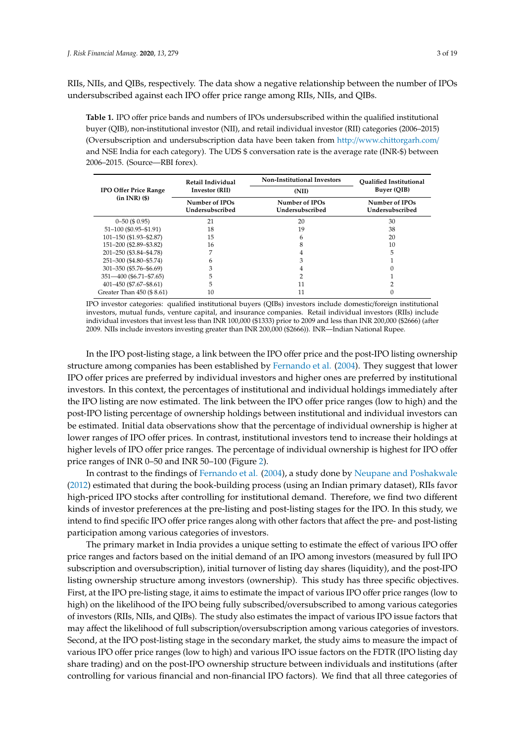RIIs, NIIs, and QIBs, respectively. The data show a negative relationship between the number of IPOs undersubscribed against each IPO offer price range among RIIs, NIIs, and QIBs.

**Table 1.** IPO offer price bands and numbers of IPOs undersubscribed within the qualified institutional buyer (QIB), non-institutional investor (NII), and retail individual investor (RII) categories (2006–2015) (Oversubscription and undersubscription data have been taken from http://www.chittorgarh.com/ and NSE India for each category). The UDS \$ conversation rate is the average rate (INR-\$) between 2006–2015. (Source—RBI forex).

|                              | Retail Individual                 | Non-Institutional Investors       | <b>Oualified Institutional</b>    |  |  |
|------------------------------|-----------------------------------|-----------------------------------|-----------------------------------|--|--|
| <b>IPO Offer Price Range</b> | Investor (RII)                    | (NII)                             | Buyer (QIB)                       |  |  |
| $(in INR)(\$)$               | Number of IPOs<br>Undersubscribed | Number of IPOs<br>Undersubscribed | Number of IPOs<br>Undersubscribed |  |  |
| $0 - 50$ (\$ 0.95)           | 21                                | 20                                | 30                                |  |  |
| 51-100 (\$0.95-\$1.91)       | 18                                | 19                                | 38                                |  |  |
| 101-150 (\$1.93-\$2.87)      | 15                                | 6                                 | 20                                |  |  |
| 151-200 (\$2.89-\$3.82)      | 16                                | 8                                 | 10                                |  |  |
| 201-250 (\$3.84-\$4.78)      |                                   | 4                                 | 5                                 |  |  |
| 251-300 (\$4.80-\$5.74)      | h                                 | 3                                 |                                   |  |  |
| 301-350 (\$5.76-\$6.69)      | 3                                 |                                   |                                   |  |  |
| 351-400 (\$6.71-\$7.65)      | 5                                 |                                   |                                   |  |  |
| 401-450 (\$7.67-\$8.61)      | 5                                 | 11                                |                                   |  |  |
| Greater Than 450 (\$8.61)    | 10                                | 11                                |                                   |  |  |

IPO investor categories: qualified institutional buyers (QIBs) investors include domestic/foreign institutional investors, mutual funds, venture capital, and insurance companies. Retail individual investors (RIIs) include individual investors that invest less than INR 100,000 (\$1333) prior to 2009 and less than INR 200,000 (\$2666) (after 2009. NIIs include investors investing greater than INR 200,000 (\$2666)). INR—Indian National Rupee.

In the IPO post-listing stage, a link between the IPO offer price and the post-IPO listing ownership structure among companies has been established by Fernando et al. (2004). They suggest that lower IPO offer prices are preferred by individual investors and higher ones are preferred by institutional investors. In this context, the percentages of institutional and individual holdings immediately after the IPO listing are now estimated. The link between the IPO offer price ranges (low to high) and the post-IPO listing percentage of ownership holdings between institutional and individual investors can be estimated. Initial data observations show that the percentage of individual ownership is higher at lower ranges of IPO offer prices. In contrast, institutional investors tend to increase their holdings at higher levels of IPO offer price ranges. The percentage of individual ownership is highest for IPO offer price ranges of INR 0–50 and INR 50–100 (Figure 2).

In contrast to the findings of Fernando et al. (2004), a study done by Neupane and Poshakwale (2012) estimated that during the book-building process (using an Indian primary dataset), RIIs favor high-priced IPO stocks after controlling for institutional demand. Therefore, we find two different kinds of investor preferences at the pre-listing and post-listing stages for the IPO. In this study, we intend to find specific IPO offer price ranges along with other factors that affect the pre- and post-listing participation among various categories of investors.

The primary market in India provides a unique setting to estimate the effect of various IPO offer price ranges and factors based on the initial demand of an IPO among investors (measured by full IPO subscription and oversubscription), initial turnover of listing day shares (liquidity), and the post-IPO listing ownership structure among investors (ownership). This study has three specific objectives. First, at the IPO pre-listing stage, it aims to estimate the impact of various IPO offer price ranges (low to high) on the likelihood of the IPO being fully subscribed/oversubscribed to among various categories of investors (RIIs, NIIs, and QIBs). The study also estimates the impact of various IPO issue factors that may affect the likelihood of full subscription/oversubscription among various categories of investors. Second, at the IPO post-listing stage in the secondary market, the study aims to measure the impact of various IPO offer price ranges (low to high) and various IPO issue factors on the FDTR (IPO listing day share trading) and on the post-IPO ownership structure between individuals and institutions (after controlling for various financial and non-financial IPO factors). We find that all three categories of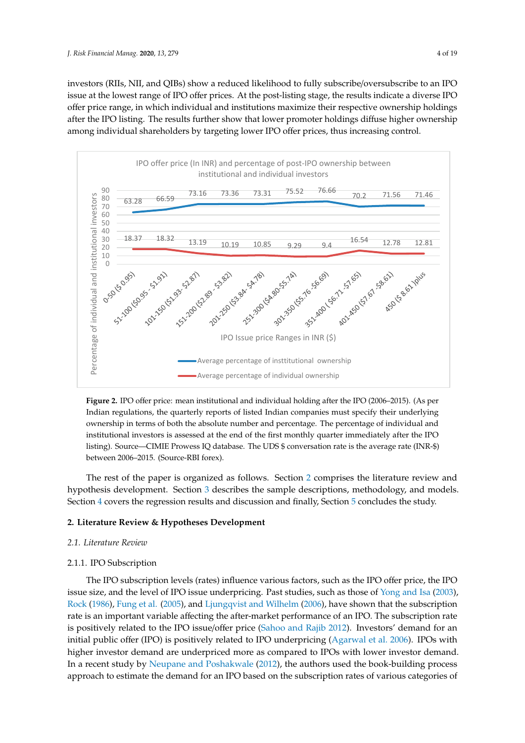investors (RIIs, NII, and QIBs) show a reduced likelihood to fully subscribe/oversubscribe to an IPO issue at the lowest range of IPO offer prices. At the post-listing stage, the results indicate a diverse IPO offer price range, in which individual and institutions maximize their respective ownership holdings after the IPO listing. The results further show that lower promoter holdings diffuse higher ownership among individual shareholders by targeting lower IPO offer prices, thus increasing control.



**Figure 2.** IPO offer price: mean institutional and individual holding after the IPO (2006–2015). (As per Indian regulations, the quarterly reports of listed Indian companies must specify their underlying ownership in terms of both the absolute number and percentage. The percentage of individual and institutional investors is assessed at the end of the first monthly quarter immediately after the IPO listing). Source—CIMIE Prowess IQ database. The UDS \$ conversation rate is the average rate (INR-\$) between 2006–2015. (Source-RBI forex).

The rest of the paper is organized as follows. Section 2 comprises the literature review and hypothesis development. Section 3 describes the sample descriptions, methodology, and models. Section 4 covers the regression results and discussion and finally, Section 5 concludes the study.

### **2. Literature Review & Hypotheses Development**

### *2.1. Literature Review*

### 2.1.1. IPO Subscription

The IPO subscription levels (rates) influence various factors, such as the IPO offer price, the IPO issue size, and the level of IPO issue underpricing. Past studies, such as those of Yong and Isa (2003), Rock (1986), Fung et al. (2005), and Ljungqvist and Wilhelm (2006), have shown that the subscription rate is an important variable affecting the after-market performance of an IPO. The subscription rate is positively related to the IPO issue/offer price (Sahoo and Rajib 2012). Investors' demand for an initial public offer (IPO) is positively related to IPO underpricing (Agarwal et al. 2006). IPOs with higher investor demand are underpriced more as compared to IPOs with lower investor demand. In a recent study by Neupane and Poshakwale (2012), the authors used the book-building process approach to estimate the demand for an IPO based on the subscription rates of various categories of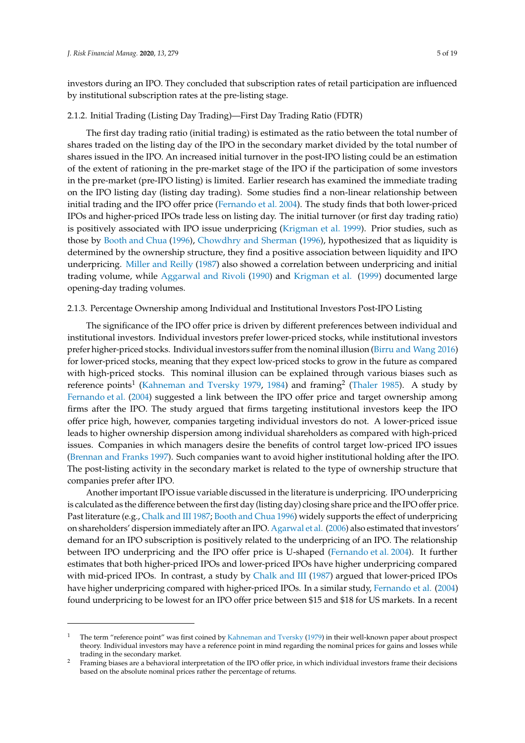investors during an IPO. They concluded that subscription rates of retail participation are influenced by institutional subscription rates at the pre-listing stage.

#### 2.1.2. Initial Trading (Listing Day Trading)—First Day Trading Ratio (FDTR)

The first day trading ratio (initial trading) is estimated as the ratio between the total number of shares traded on the listing day of the IPO in the secondary market divided by the total number of shares issued in the IPO. An increased initial turnover in the post-IPO listing could be an estimation of the extent of rationing in the pre-market stage of the IPO if the participation of some investors in the pre-market (pre-IPO listing) is limited. Earlier research has examined the immediate trading on the IPO listing day (listing day trading). Some studies find a non-linear relationship between initial trading and the IPO offer price (Fernando et al. 2004). The study finds that both lower-priced IPOs and higher-priced IPOs trade less on listing day. The initial turnover (or first day trading ratio) is positively associated with IPO issue underpricing (Krigman et al. 1999). Prior studies, such as those by Booth and Chua (1996), Chowdhry and Sherman (1996), hypothesized that as liquidity is determined by the ownership structure, they find a positive association between liquidity and IPO underpricing. Miller and Reilly (1987) also showed a correlation between underpricing and initial trading volume, while Aggarwal and Rivoli (1990) and Krigman et al. (1999) documented large opening-day trading volumes.

#### 2.1.3. Percentage Ownership among Individual and Institutional Investors Post-IPO Listing

The significance of the IPO offer price is driven by different preferences between individual and institutional investors. Individual investors prefer lower-priced stocks, while institutional investors prefer higher-priced stocks. Individual investors suffer from the nominal illusion (Birru and Wang 2016) for lower-priced stocks, meaning that they expect low-priced stocks to grow in the future as compared with high-priced stocks. This nominal illusion can be explained through various biases such as reference points<sup>1</sup> (Kahneman and Tversky 1979, 1984) and framing<sup>2</sup> (Thaler 1985). A study by Fernando et al. (2004) suggested a link between the IPO offer price and target ownership among firms after the IPO. The study argued that firms targeting institutional investors keep the IPO offer price high, however, companies targeting individual investors do not. A lower-priced issue leads to higher ownership dispersion among individual shareholders as compared with high-priced issues. Companies in which managers desire the benefits of control target low-priced IPO issues (Brennan and Franks 1997). Such companies want to avoid higher institutional holding after the IPO. The post-listing activity in the secondary market is related to the type of ownership structure that companies prefer after IPO.

Another important IPO issue variable discussed in the literature is underpricing. IPO underpricing is calculated as the difference between the first day (listing day) closing share price and the IPO offer price. Past literature (e.g., Chalk and III 1987; Booth and Chua 1996) widely supports the effect of underpricing on shareholders' dispersion immediately after an IPO. Agarwal et al. (2006) also estimated that investors' demand for an IPO subscription is positively related to the underpricing of an IPO. The relationship between IPO underpricing and the IPO offer price is U-shaped (Fernando et al. 2004). It further estimates that both higher-priced IPOs and lower-priced IPOs have higher underpricing compared with mid-priced IPOs. In contrast, a study by Chalk and III (1987) argued that lower-priced IPOs have higher underpricing compared with higher-priced IPOs. In a similar study, Fernando et al. (2004) found underpricing to be lowest for an IPO offer price between \$15 and \$18 for US markets. In a recent

<sup>1</sup> The term "reference point" was first coined by Kahneman and Tversky (1979) in their well-known paper about prospect theory. Individual investors may have a reference point in mind regarding the nominal prices for gains and losses while trading in the secondary market.

<sup>2</sup> Framing biases are a behavioral interpretation of the IPO offer price, in which individual investors frame their decisions based on the absolute nominal prices rather the percentage of returns.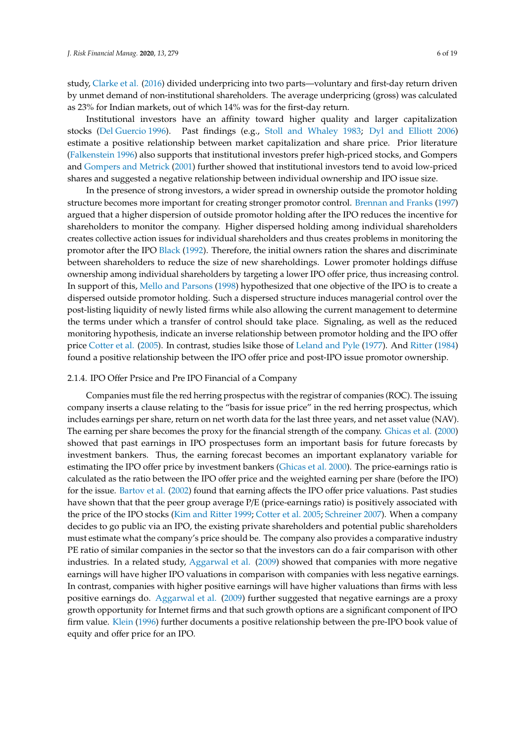study, Clarke et al. (2016) divided underpricing into two parts—voluntary and first-day return driven by unmet demand of non-institutional shareholders. The average underpricing (gross) was calculated as 23% for Indian markets, out of which 14% was for the first-day return.

Institutional investors have an affinity toward higher quality and larger capitalization stocks (Del Guercio 1996). Past findings (e.g., Stoll and Whaley 1983; Dyl and Elliott 2006) estimate a positive relationship between market capitalization and share price. Prior literature (Falkenstein 1996) also supports that institutional investors prefer high-priced stocks, and Gompers and Gompers and Metrick (2001) further showed that institutional investors tend to avoid low-priced shares and suggested a negative relationship between individual ownership and IPO issue size.

In the presence of strong investors, a wider spread in ownership outside the promotor holding structure becomes more important for creating stronger promotor control. Brennan and Franks (1997) argued that a higher dispersion of outside promotor holding after the IPO reduces the incentive for shareholders to monitor the company. Higher dispersed holding among individual shareholders creates collective action issues for individual shareholders and thus creates problems in monitoring the promotor after the IPO Black (1992). Therefore, the initial owners ration the shares and discriminate between shareholders to reduce the size of new shareholdings. Lower promoter holdings diffuse ownership among individual shareholders by targeting a lower IPO offer price, thus increasing control. In support of this, Mello and Parsons (1998) hypothesized that one objective of the IPO is to create a dispersed outside promotor holding. Such a dispersed structure induces managerial control over the post-listing liquidity of newly listed firms while also allowing the current management to determine the terms under which a transfer of control should take place. Signaling, as well as the reduced monitoring hypothesis, indicate an inverse relationship between promotor holding and the IPO offer price Cotter et al. (2005). In contrast, studies lsike those of Leland and Pyle (1977). And Ritter (1984) found a positive relationship between the IPO offer price and post-IPO issue promotor ownership.

#### 2.1.4. IPO Offer Prsice and Pre IPO Financial of a Company

Companies must file the red herring prospectus with the registrar of companies (ROC). The issuing company inserts a clause relating to the "basis for issue price" in the red herring prospectus, which includes earnings per share, return on net worth data for the last three years, and net asset value (NAV). The earning per share becomes the proxy for the financial strength of the company. Ghicas et al. (2000) showed that past earnings in IPO prospectuses form an important basis for future forecasts by investment bankers. Thus, the earning forecast becomes an important explanatory variable for estimating the IPO offer price by investment bankers (Ghicas et al. 2000). The price-earnings ratio is calculated as the ratio between the IPO offer price and the weighted earning per share (before the IPO) for the issue. Bartov et al. (2002) found that earning affects the IPO offer price valuations. Past studies have shown that that the peer group average P/E (price-earnings ratio) is positively associated with the price of the IPO stocks (Kim and Ritter 1999; Cotter et al. 2005; Schreiner 2007). When a company decides to go public via an IPO, the existing private shareholders and potential public shareholders must estimate what the company's price should be. The company also provides a comparative industry PE ratio of similar companies in the sector so that the investors can do a fair comparison with other industries. In a related study, Aggarwal et al. (2009) showed that companies with more negative earnings will have higher IPO valuations in comparison with companies with less negative earnings. In contrast, companies with higher positive earnings will have higher valuations than firms with less positive earnings do. Aggarwal et al. (2009) further suggested that negative earnings are a proxy growth opportunity for Internet firms and that such growth options are a significant component of IPO firm value. Klein (1996) further documents a positive relationship between the pre-IPO book value of equity and offer price for an IPO.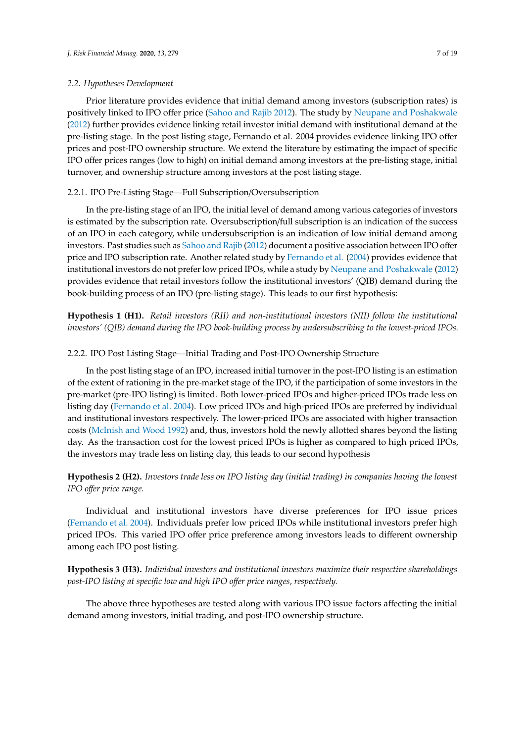#### *2.2. Hypotheses Development*

Prior literature provides evidence that initial demand among investors (subscription rates) is positively linked to IPO offer price (Sahoo and Rajib 2012). The study by Neupane and Poshakwale (2012) further provides evidence linking retail investor initial demand with institutional demand at the pre-listing stage. In the post listing stage, Fernando et al. 2004 provides evidence linking IPO offer prices and post-IPO ownership structure. We extend the literature by estimating the impact of specific IPO offer prices ranges (low to high) on initial demand among investors at the pre-listing stage, initial turnover, and ownership structure among investors at the post listing stage.

### 2.2.1. IPO Pre-Listing Stage—Full Subscription/Oversubscription

In the pre-listing stage of an IPO, the initial level of demand among various categories of investors is estimated by the subscription rate. Oversubscription/full subscription is an indication of the success of an IPO in each category, while undersubscription is an indication of low initial demand among investors. Past studies such as Sahoo and Rajib (2012) document a positive association between IPO offer price and IPO subscription rate. Another related study by Fernando et al. (2004) provides evidence that institutional investors do not prefer low priced IPOs, while a study by Neupane and Poshakwale (2012) provides evidence that retail investors follow the institutional investors' (QIB) demand during the book-building process of an IPO (pre-listing stage). This leads to our first hypothesis:

**Hypothesis 1 (H1).** *Retail investors (RII) and non-institutional investors (NII) follow the institutional investors' (QIB) demand during the IPO book-building process by undersubscribing to the lowest-priced IPOs.*

#### 2.2.2. IPO Post Listing Stage—Initial Trading and Post-IPO Ownership Structure

In the post listing stage of an IPO, increased initial turnover in the post-IPO listing is an estimation of the extent of rationing in the pre-market stage of the IPO, if the participation of some investors in the pre-market (pre-IPO listing) is limited. Both lower-priced IPOs and higher-priced IPOs trade less on listing day (Fernando et al. 2004). Low priced IPOs and high-priced IPOs are preferred by individual and institutional investors respectively. The lower-priced IPOs are associated with higher transaction costs (McInish and Wood 1992) and, thus, investors hold the newly allotted shares beyond the listing day. As the transaction cost for the lowest priced IPOs is higher as compared to high priced IPOs, the investors may trade less on listing day, this leads to our second hypothesis

**Hypothesis 2 (H2).** *Investors trade less on IPO listing day (initial trading) in companies having the lowest IPO o*ff*er price range.*

Individual and institutional investors have diverse preferences for IPO issue prices (Fernando et al. 2004). Individuals prefer low priced IPOs while institutional investors prefer high priced IPOs. This varied IPO offer price preference among investors leads to different ownership among each IPO post listing.

### **Hypothesis 3 (H3).** *Individual investors and institutional investors maximize their respective shareholdings post-IPO listing at specific low and high IPO o*ff*er price ranges, respectively.*

The above three hypotheses are tested along with various IPO issue factors affecting the initial demand among investors, initial trading, and post-IPO ownership structure.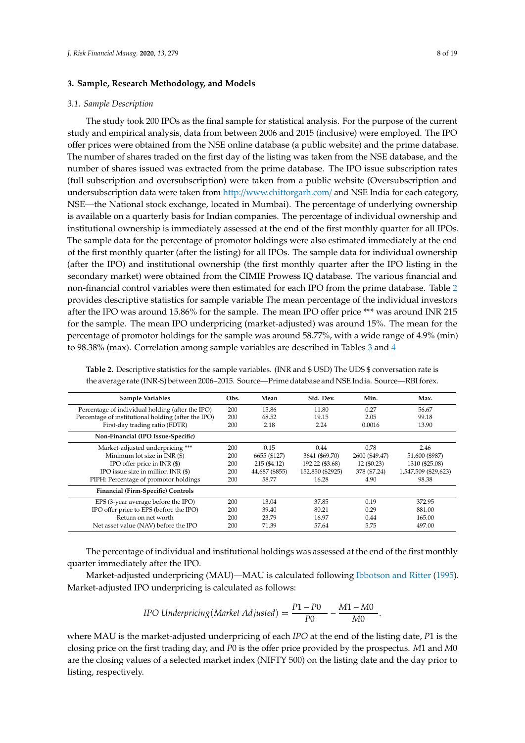#### **3. Sample, Research Methodology, and Models**

#### *3.1. Sample Description*

The study took 200 IPOs as the final sample for statistical analysis. For the purpose of the current study and empirical analysis, data from between 2006 and 2015 (inclusive) were employed. The IPO offer prices were obtained from the NSE online database (a public website) and the prime database. The number of shares traded on the first day of the listing was taken from the NSE database, and the number of shares issued was extracted from the prime database. The IPO issue subscription rates (full subscription and oversubscription) were taken from a public website (Oversubscription and undersubscription data were taken from http://www.chittorgarh.com/ and NSE India for each category, NSE—the National stock exchange, located in Mumbai). The percentage of underlying ownership is available on a quarterly basis for Indian companies. The percentage of individual ownership and institutional ownership is immediately assessed at the end of the first monthly quarter for all IPOs. The sample data for the percentage of promotor holdings were also estimated immediately at the end of the first monthly quarter (after the listing) for all IPOs. The sample data for individual ownership (after the IPO) and institutional ownership (the first monthly quarter after the IPO listing in the secondary market) were obtained from the CIMIE Prowess IQ database. The various financial and non-financial control variables were then estimated for each IPO from the prime database. Table 2 provides descriptive statistics for sample variable The mean percentage of the individual investors after the IPO was around 15.86% for the sample. The mean IPO offer price \*\*\* was around INR 215 for the sample. The mean IPO underpricing (market-adjusted) was around 15%. The mean for the percentage of promotor holdings for the sample was around 58.77%, with a wide range of 4.9% (min) to 98.38% (max). Correlation among sample variables are described in Tables 3 and 4

| Sample Variables                                    | Obs. | Mean           | Std. Dev.        | Min.           | Max.                 |
|-----------------------------------------------------|------|----------------|------------------|----------------|----------------------|
| Percentage of individual holding (after the IPO)    | 200  | 15.86          | 11.80            | 0.27           | 56.67                |
| Percentage of institutional holding (after the IPO) | 200  | 68.52          | 19.15            | 2.05           | 99.18                |
| First-day trading ratio (FDTR)                      | 200  | 2.18           | 2.24             | 0.0016         | 13.90                |
| Non-Financial (IPO Issue-Specific)                  |      |                |                  |                |                      |
| Market-adjusted underpricing ***                    | 200  | 0.15           | 0.44             | 0.78           | 2.46                 |
| Minimum lot size in INR (\$)                        | 200  | 6655 (\$127)   | 3641 (\$69.70)   | 2600 (\$49.47) | 51,600 (\$987)       |
| IPO offer price in INR (\$)                         | 200  | 215 (\$4.12)   | 192.22 (\$3.68)  | 12(60.23)      | 1310 (\$25.08)       |
| IPO issue size in million INR (\$)                  | 200  | 44,687 (\$855) | 152,850 (\$2925) | 378 (\$7.24)   | 1,547,509 (\$29,623) |
| PIPH: Percentage of promotor holdings               |      | 58.77          | 16.28            | 4.90           | 98.38                |
| Financial (Firm-Specific) Controls                  |      |                |                  |                |                      |
| EPS (3-year average before the IPO)                 | 200  | 13.04          | 37.85            | 0.19           | 372.95               |
| IPO offer price to EPS (before the IPO)             | 200  | 39.40          | 80.21            | 0.29           | 881.00               |
| Return on net worth                                 |      | 23.79          | 16.97            | 0.44           | 165.00               |
| Net asset value (NAV) before the IPO                |      | 71.39          | 57.64            | 5.75           | 497.00               |

**Table 2.** Descriptive statistics for the sample variables. (INR and \$ USD) The UDS \$ conversation rate is the average rate (INR-\$) between 2006–2015. Source—Prime database and NSE India. Source—RBI forex.

The percentage of individual and institutional holdings was assessed at the end of the first monthly quarter immediately after the IPO.

Market-adjusted underpricing (MAU)—MAU is calculated following Ibbotson and Ritter (1995). Market-adjusted IPO underpricing is calculated as follows:

$$
IPO\;Under pricing (Market\; Adjusted) = \frac{P1 - P0}{P0} - \frac{M1 - M0}{M0}.
$$

where MAU is the market-adjusted underpricing of each *IPO* at the end of the listing date, *P*1 is the closing price on the first trading day, and *P*0 is the offer price provided by the prospectus. *M*1 and *M*0 are the closing values of a selected market index (NIFTY 500) on the listing date and the day prior to listing, respectively.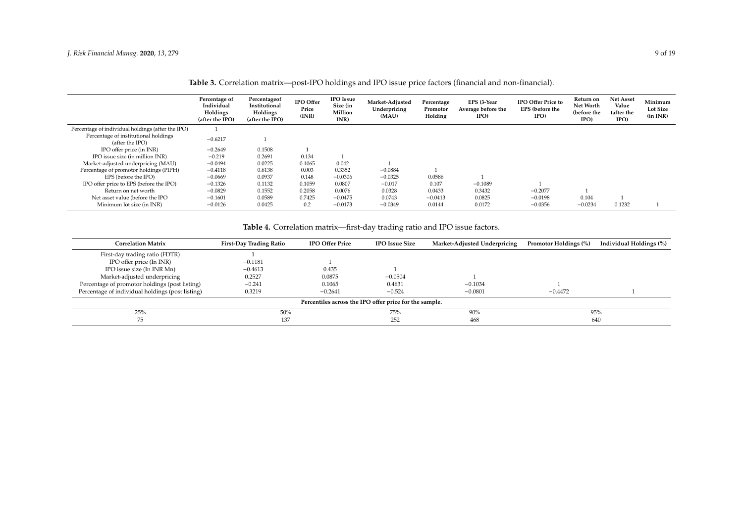|                                                         | Percentage of<br>Individual<br>Holdings<br>(after the IPO) | Percentageof<br>Institutional<br>Holdings<br>(after the IPO) | <b>IPO Offer</b><br>Price<br>(INR) | <b>IPO</b> Issue<br>Size (in<br>Million<br>INR) | Market-Adjusted<br>Underpricing<br>(MAU) | Percentage<br>Promotor<br>Holding | EPS (3-Year<br>Average before the<br>IPO) | <b>IPO Offer Price to</b><br>EPS (before the<br>IPO) | Return on<br><b>Net Worth</b><br>(before the<br>IPO) | <b>Net Asset</b><br>Value<br>(after the<br>IPO) | Minimum<br><b>Lot Size</b><br>(in INR) |
|---------------------------------------------------------|------------------------------------------------------------|--------------------------------------------------------------|------------------------------------|-------------------------------------------------|------------------------------------------|-----------------------------------|-------------------------------------------|------------------------------------------------------|------------------------------------------------------|-------------------------------------------------|----------------------------------------|
| Percentage of individual holdings (after the IPO)       |                                                            |                                                              |                                    |                                                 |                                          |                                   |                                           |                                                      |                                                      |                                                 |                                        |
| Percentage of institutional holdings<br>(after the IPO) | $-0.6217$                                                  |                                                              |                                    |                                                 |                                          |                                   |                                           |                                                      |                                                      |                                                 |                                        |
| IPO offer price (in INR)                                | $-0.2649$                                                  | 0.1508                                                       |                                    |                                                 |                                          |                                   |                                           |                                                      |                                                      |                                                 |                                        |
| IPO issue size (in million INR)                         | $-0.219$                                                   | 0.2691                                                       | 0.134                              |                                                 |                                          |                                   |                                           |                                                      |                                                      |                                                 |                                        |
| Market-adjusted underpricing (MAU)                      | $-0.0494$                                                  | 0.0225                                                       | 0.1065                             | 0.042                                           |                                          |                                   |                                           |                                                      |                                                      |                                                 |                                        |
| Percentage of promotor holdings (PIPH)                  | $-0.4118$                                                  | 0.6138                                                       | 0.003                              | 0.3352                                          | $-0.0884$                                |                                   |                                           |                                                      |                                                      |                                                 |                                        |
| EPS (before the IPO)                                    | $-0.0669$                                                  | 0.0937                                                       | 0.148                              | $-0.0306$                                       | $-0.0325$                                | 0.0586                            |                                           |                                                      |                                                      |                                                 |                                        |
| IPO offer price to EPS (before the IPO)                 | $-0.1326$                                                  | 0.1132                                                       | 0.1059                             | 0.0807                                          | $-0.017$                                 | 0.107                             | $-0.1089$                                 |                                                      |                                                      |                                                 |                                        |
| Return on net worth                                     | $-0.0829$                                                  | 0.1552                                                       | 0.2058                             | 0.0076                                          | 0.0328                                   | 0.0433                            | 0.3432                                    | $-0.2077$                                            |                                                      |                                                 |                                        |
| Net asset value (before the IPO                         | $-0.1601$                                                  | 0.0589                                                       | 0.7425                             | $-0.0475$                                       | 0.0743                                   | $-0.0413$                         | 0.0825                                    | $-0.0198$                                            | 0.104                                                |                                                 |                                        |
| Minimum lot size (in INR)                               | $-0.0126$                                                  | 0.0425                                                       | 0.2                                | $-0.0173$                                       | $-0.0349$                                | 0.0144                            | 0.0172                                    | $-0.0356$                                            | $-0.0234$                                            | 0.1232                                          |                                        |

**Table 3.** Correlation matrix—post-IPO holdings and IPO issue price factors (financial and non-financial).

### **Table 4.** Correlation matrix—first-day trading ratio and IPO issue factors.

| Correlation Matrix                                     | First-Day Trading Ratio | <b>IPO Offer Price</b> | <b>IPO Issue Size</b> | Market-Adjusted Underpricing | Promotor Holdings (%) | Individual Holdings (%) |  |
|--------------------------------------------------------|-------------------------|------------------------|-----------------------|------------------------------|-----------------------|-------------------------|--|
| First-day trading ratio (FDTR)                         |                         |                        |                       |                              |                       |                         |  |
| IPO offer price (In INR)                               | $-0.1181$               |                        |                       |                              |                       |                         |  |
| IPO issue size (In INR Mn)                             | $-0.4613$               | 0.435                  |                       |                              |                       |                         |  |
| Market-adjusted underpricing                           | 0.2527                  | 0.0875                 | $-0.0504$             |                              |                       |                         |  |
| Percentage of promotor holdings (post listing)         | $-0.241$                | 0.1065                 | 0.4631                | $-0.1034$                    |                       |                         |  |
| Percentage of individual holdings (post listing)       | 0.3219                  | $-0.2641$              | $-0.524$              | $-0.0801$                    | $-0.4472$             |                         |  |
| Percentiles across the IPO offer price for the sample. |                         |                        |                       |                              |                       |                         |  |
| 25%                                                    | 50%                     |                        | 75%                   | 90%                          |                       | 95%                     |  |
| 75                                                     | 137                     |                        | 252                   | 468                          |                       | 640                     |  |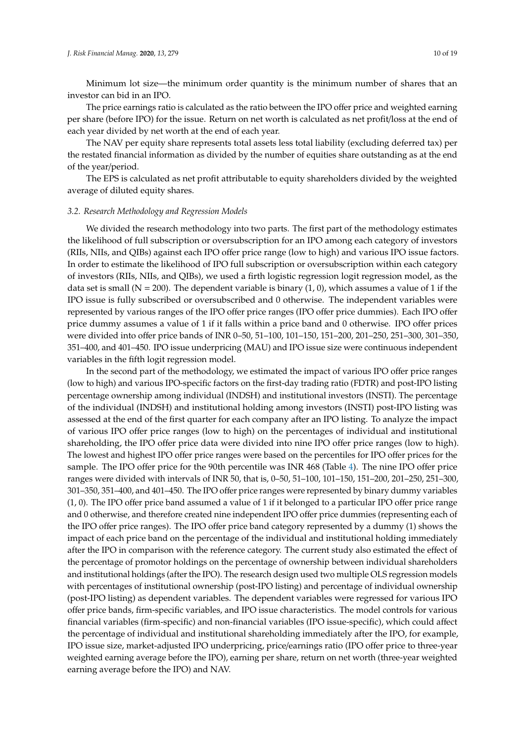Minimum lot size—the minimum order quantity is the minimum number of shares that an investor can bid in an IPO.

The price earnings ratio is calculated as the ratio between the IPO offer price and weighted earning per share (before IPO) for the issue. Return on net worth is calculated as net profit/loss at the end of each year divided by net worth at the end of each year.

The NAV per equity share represents total assets less total liability (excluding deferred tax) per the restated financial information as divided by the number of equities share outstanding as at the end of the year/period.

The EPS is calculated as net profit attributable to equity shareholders divided by the weighted average of diluted equity shares.

#### *3.2. Research Methodology and Regression Models*

We divided the research methodology into two parts. The first part of the methodology estimates the likelihood of full subscription or oversubscription for an IPO among each category of investors (RIIs, NIIs, and QIBs) against each IPO offer price range (low to high) and various IPO issue factors. In order to estimate the likelihood of IPO full subscription or oversubscription within each category of investors (RIIs, NIIs, and QIBs), we used a firth logistic regression logit regression model, as the data set is small ( $N = 200$ ). The dependent variable is binary (1, 0), which assumes a value of 1 if the IPO issue is fully subscribed or oversubscribed and 0 otherwise. The independent variables were represented by various ranges of the IPO offer price ranges (IPO offer price dummies). Each IPO offer price dummy assumes a value of 1 if it falls within a price band and 0 otherwise. IPO offer prices were divided into offer price bands of INR 0–50, 51–100, 101–150, 151–200, 201–250, 251–300, 301–350, 351–400, and 401–450. IPO issue underpricing (MAU) and IPO issue size were continuous independent variables in the fifth logit regression model.

In the second part of the methodology, we estimated the impact of various IPO offer price ranges (low to high) and various IPO-specific factors on the first-day trading ratio (FDTR) and post-IPO listing percentage ownership among individual (INDSH) and institutional investors (INSTI). The percentage of the individual (INDSH) and institutional holding among investors (INSTI) post-IPO listing was assessed at the end of the first quarter for each company after an IPO listing. To analyze the impact of various IPO offer price ranges (low to high) on the percentages of individual and institutional shareholding, the IPO offer price data were divided into nine IPO offer price ranges (low to high). The lowest and highest IPO offer price ranges were based on the percentiles for IPO offer prices for the sample. The IPO offer price for the 90th percentile was INR 468 (Table 4). The nine IPO offer price ranges were divided with intervals of INR 50, that is, 0–50, 51–100, 101–150, 151–200, 201–250, 251–300, 301–350, 351–400, and 401–450. The IPO offer price ranges were represented by binary dummy variables (1, 0). The IPO offer price band assumed a value of 1 if it belonged to a particular IPO offer price range and 0 otherwise, and therefore created nine independent IPO offer price dummies (representing each of the IPO offer price ranges). The IPO offer price band category represented by a dummy (1) shows the impact of each price band on the percentage of the individual and institutional holding immediately after the IPO in comparison with the reference category. The current study also estimated the effect of the percentage of promotor holdings on the percentage of ownership between individual shareholders and institutional holdings (after the IPO). The research design used two multiple OLS regression models with percentages of institutional ownership (post-IPO listing) and percentage of individual ownership (post-IPO listing) as dependent variables. The dependent variables were regressed for various IPO offer price bands, firm-specific variables, and IPO issue characteristics. The model controls for various financial variables (firm-specific) and non-financial variables (IPO issue-specific), which could affect the percentage of individual and institutional shareholding immediately after the IPO, for example, IPO issue size, market-adjusted IPO underpricing, price/earnings ratio (IPO offer price to three-year weighted earning average before the IPO), earning per share, return on net worth (three-year weighted earning average before the IPO) and NAV.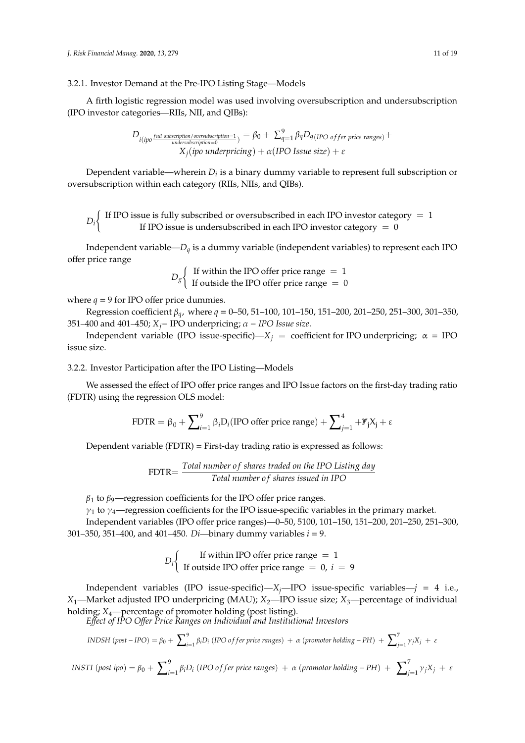#### 3.2.1. Investor Demand at the Pre-IPO Listing Stage—Models

A firth logistic regression model was used involving oversubscription and undersubscription (IPO investor categories—RIIs, NII, and QIBs):

$$
D_{i(ipo \frac{full\ subscription/oversubscription=1}{undersubscription=0}} = \beta_0 + \sum_{q=1}^{9} \beta_q D_q (1PO\ of\ fer\ price\ ranges) + X_j(ipo\ under\ priceing) + \alpha (1PO\ Issue\ size) + \varepsilon
$$

Dependent variable—wherein  $D_i$  is a binary dummy variable to represent full subscription or oversubscription within each category (RIIs, NIIs, and QIBs).  $\mathbf{R}$ *ι*<sup>1</sup>/<sub>1</sub> is a binary duminy variable to represent<br>*v* (RIIs NIIs and OIBs)

 $D_i$  If IPO issue is fully subscribed or oversubscribed in each IPO investor category = 1 If IPO issue is undersubscribed in each IPO investor category  $= 0$  $\overline{O}$  is undersubscribed in each IPO is understanding in each IPO investor category  $\overline{O}$  is understanding in each IPO in

Independent variable—*D<sup>q</sup>* is a dummy variable (independent variables) to represent each IPO ܦ offer price range

> $D_g$ If within the IPO offer price range = 1 If outside the IPO offer price range  $= 0$  $\Gamma$  is the IP offer price range  $= 0$

where  $q = 9$  for IPO offer price dummies.

Regression coefficient  $β<sub>q</sub>$ , where  $q = 0-50$ , 51–100, 101–150, 151–200, 201–250, 251–300, 301–350, <br>  $\frac{1103 \times 150 \times 100}{100}$ 351–400 and 401–450;  $X_j$ − IPO underpricing;  $\alpha$  – *IPO Issue size*.

Independent variable (IPO issue-specific)— $X_j$  = coefficient for IPO underpricing;  $\alpha$  = IPO issue size.

3.2.2. Investor Participation after the IPO Listing—Models

We assessed the effect of IPO offer price ranges and IPO Issue factors on the first-day trading ratio (FDTR) using the regression OLS model:

$$
FDTR = \beta_0 + \sum_{i=1}^{9} \beta_i D_i (IPO\,offer\,price\,range) + \sum_{j=1}^{4} + \mathcal{V}_j X_j + \varepsilon
$$

Dependent variable (FDTR) = First-day trading ratio is expressed as follows:

$$
FDTR = \frac{Total number of shares traded on the IPO Listing day}{Total number of shares issued in IPO}
$$

 $\beta_1$  to  $\beta_9$ —regression coefficients for the IPO offer price ranges.

 $\gamma_1$  to  $\gamma_4$ —regression coefficients for the IPO issue-specific variables in the primary market.

Independent variables (IPO offer price ranges)—0–50, 5100, 101–150, 151–200, 201–250, 251–300, 301–350, 351–400, and 401–450. *Di*—binary dummy variables *i* = 9.

> $D_i$ If within IPO offer price range = 1 If outside IPO offer price range  $= 0$ ,  $i = 9$

Independent variables (IPO issue-specific)— $X_i$ —IPO issue-specific variables— $j = 4$  i.e., *X*1—Market adjusted IPO underpricing (MAU); *X*2—IPO issue size; *X*3—percentage of individual holding; *X*4—percentage of promoter holding (post listing).

*E*ff*ect of IPO O*ff*er Price Ranges on Individual and Institutional Investors*

$$
INDSH (post - IPO) = \beta_0 + \sum_{i=1}^{9} \beta_i D_i (IPO \text{ of } fer \text{ price ranges}) + \alpha (promotor \text{ holding } - PH) + \sum_{j=1}^{7} \gamma_j X_j + \varepsilon
$$
\n
$$
INSTI (post \text{ } ipo) = \beta_0 + \sum_{i=1}^{9} \beta_i D_i (IPO \text{ of } fer \text{ price ranges}) + \alpha (promotor \text{ holding } - PH) + \sum_{j=1}^{7} \gamma_j X_j + \varepsilon
$$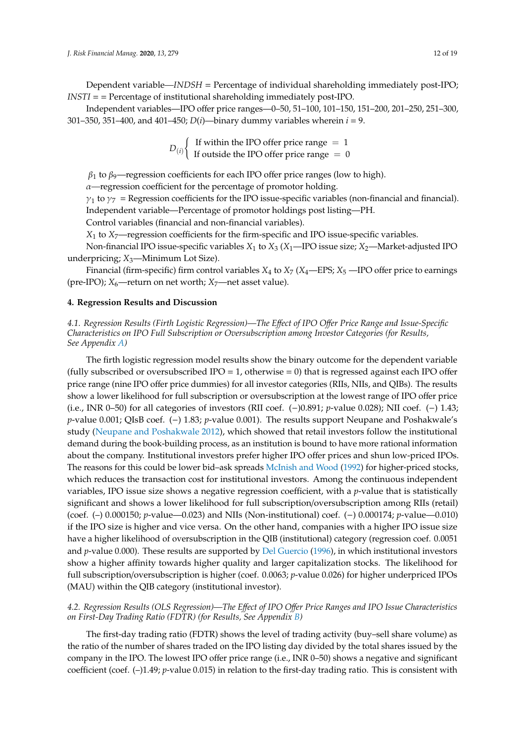Independent variables—IPO offer price ranges—0–50, 51–100, 101–150, 151–200, 201–250, 251–300, 301–350, 351–400, and 401–450; *D*(*i*)—binary dummy variables wherein *i* = 9.

> $D_{(i)}\left\{\n\begin{array}{l}\n\text{If within the IPO offer price range } = 1 \\
> \text{If outside the IPO offer price range } = 0\n\end{array}\n\right.$ If outside the IPO offer price range  $= 0$

 $β_1$  to  $β_9$ —regression coefficients for each IPO offer price ranges (low to high).

α*—*regression coefficient for the percentage of promotor holding.

 $\gamma_1$  to  $\gamma_7$  = Regression coefficients for the IPO issue-specific variables (non-financial and financial). Independent variable—Percentage of promotor holdings post listing—PH.

Control variables (financial and non-financial variables).

*X*<sup>1</sup> to *X*7—regression coefficients for the firm-specific and IPO issue-specific variables.

Non-financial IPO issue-specific variables  $X_1$  to  $X_3$  ( $X_1$ —IPO issue size;  $X_2$ —Market-adjusted IPO underpricing; *X*3—Minimum Lot Size).

Financial (firm-specific) firm control variables  $X_4$  to  $X_7$  ( $X_4$ —EPS;  $X_5$  —IPO offer price to earnings (pre-IPO);  $X_6$ —return on net worth;  $X_7$ —net asset value).

#### **4. Regression Results and Discussion**

*4.1. Regression Results (Firth Logistic Regression)—The E*ff*ect of IPO O*ff*er Price Range and Issue-Specific Characteristics on IPO Full Subscription or Oversubscription among Investor Categories (for Results, See Appendix A)*

The firth logistic regression model results show the binary outcome for the dependent variable (fully subscribed or oversubscribed IPO = 1, otherwise = 0) that is regressed against each IPO offer price range (nine IPO offer price dummies) for all investor categories (RIIs, NIIs, and QIBs). The results show a lower likelihood for full subscription or oversubscription at the lowest range of IPO offer price (i.e., INR 0–50) for all categories of investors (RII coef. (−)0.891; *p*-value 0.028); NII coef. (−) 1.43; *p*-value 0.001; QIsB coef. (−) 1.83; *p*-value 0.001). The results support Neupane and Poshakwale's study (Neupane and Poshakwale 2012), which showed that retail investors follow the institutional demand during the book-building process, as an institution is bound to have more rational information about the company. Institutional investors prefer higher IPO offer prices and shun low-priced IPOs. The reasons for this could be lower bid–ask spreads McInish and Wood (1992) for higher-priced stocks, which reduces the transaction cost for institutional investors. Among the continuous independent variables, IPO issue size shows a negative regression coefficient, with a *p*-value that is statistically significant and shows a lower likelihood for full subscription/oversubscription among RIIs (retail) (coef. (–) 0.000150; *p*-value—0.023) and NIIs (Non-institutional) coef. (−) 0.000174; *p*-value—0.010) if the IPO size is higher and vice versa. On the other hand, companies with a higher IPO issue size have a higher likelihood of oversubscription in the QIB (institutional) category (regression coef. 0.0051 and *p*-value 0.000). These results are supported by Del Guercio (1996), in which institutional investors show a higher affinity towards higher quality and larger capitalization stocks. The likelihood for full subscription/oversubscription is higher (coef. 0.0063; *p*-value 0.026) for higher underpriced IPOs (MAU) within the QIB category (institutional investor).

### *4.2. Regression Results (OLS Regression)—The E*ff*ect of IPO O*ff*er Price Ranges and IPO Issue Characteristics on First-Day Trading Ratio (FDTR) (for Results, See Appendix B)*

The first-day trading ratio (FDTR) shows the level of trading activity (buy–sell share volume) as the ratio of the number of shares traded on the IPO listing day divided by the total shares issued by the company in the IPO. The lowest IPO offer price range (i.e., INR 0–50) shows a negative and significant coefficient (coef. (–)1.49; *p*-value 0.015) in relation to the first-day trading ratio. This is consistent with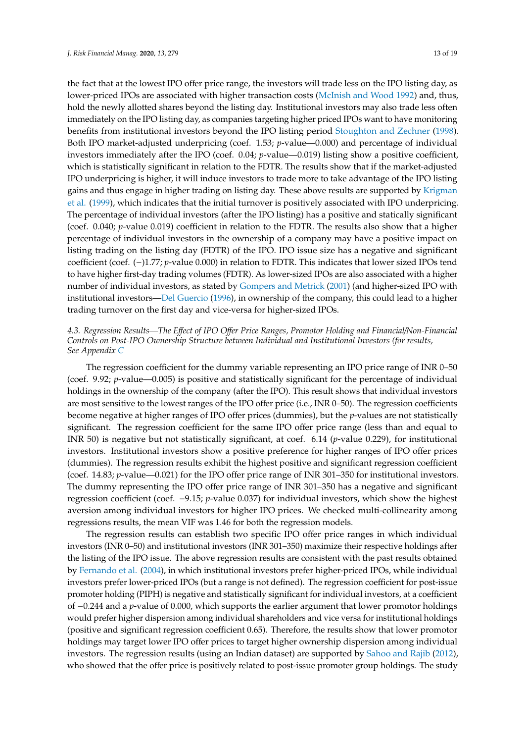the fact that at the lowest IPO offer price range, the investors will trade less on the IPO listing day, as lower-priced IPOs are associated with higher transaction costs (McInish and Wood 1992) and, thus, hold the newly allotted shares beyond the listing day. Institutional investors may also trade less often immediately on the IPO listing day, as companies targeting higher priced IPOs want to have monitoring benefits from institutional investors beyond the IPO listing period Stoughton and Zechner (1998). Both IPO market-adjusted underpricing (coef. 1.53; *p*-value—0.000) and percentage of individual investors immediately after the IPO (coef. 0.04; *p*-value—0.019) listing show a positive coefficient, which is statistically significant in relation to the FDTR. The results show that if the market-adjusted IPO underpricing is higher, it will induce investors to trade more to take advantage of the IPO listing gains and thus engage in higher trading on listing day. These above results are supported by Krigman et al. (1999), which indicates that the initial turnover is positively associated with IPO underpricing. The percentage of individual investors (after the IPO listing) has a positive and statically significant (coef. 0.040; *p*-value 0.019) coefficient in relation to the FDTR. The results also show that a higher percentage of individual investors in the ownership of a company may have a positive impact on listing trading on the listing day (FDTR) of the IPO. IPO issue size has a negative and significant coefficient (coef. (−)1.77; *p*-value 0.000) in relation to FDTR. This indicates that lower sized IPOs tend to have higher first-day trading volumes (FDTR). As lower-sized IPOs are also associated with a higher number of individual investors, as stated by Gompers and Metrick (2001) (and higher-sized IPO with institutional investors—Del Guercio (1996), in ownership of the company, this could lead to a higher trading turnover on the first day and vice-versa for higher-sized IPOs.

### *4.3. Regression Results—The E*ff*ect of IPO O*ff*er Price Ranges, Promotor Holding and Financial*/*Non-Financial Controls on Post-IPO Ownership Structure between Individual and Institutional Investors (for results, See Appendix C*

The regression coefficient for the dummy variable representing an IPO price range of INR 0–50 (coef. 9.92; *p*-value—0.005) is positive and statistically significant for the percentage of individual holdings in the ownership of the company (after the IPO). This result shows that individual investors are most sensitive to the lowest ranges of the IPO offer price (i.e., INR 0–50). The regression coefficients become negative at higher ranges of IPO offer prices (dummies), but the *p*-values are not statistically significant. The regression coefficient for the same IPO offer price range (less than and equal to INR 50) is negative but not statistically significant, at coef. 6.14 (*p*-value 0.229), for institutional investors. Institutional investors show a positive preference for higher ranges of IPO offer prices (dummies). The regression results exhibit the highest positive and significant regression coefficient (coef. 14.83; *p*-value—0.021) for the IPO offer price range of INR 301–350 for institutional investors. The dummy representing the IPO offer price range of INR 301–350 has a negative and significant regression coefficient (coef. −9.15; *p*-value 0.037) for individual investors, which show the highest aversion among individual investors for higher IPO prices. We checked multi-collinearity among regressions results, the mean VIF was 1.46 for both the regression models.

The regression results can establish two specific IPO offer price ranges in which individual investors (INR 0–50) and institutional investors (INR 301–350) maximize their respective holdings after the listing of the IPO issue. The above regression results are consistent with the past results obtained by Fernando et al. (2004), in which institutional investors prefer higher-priced IPOs, while individual investors prefer lower-priced IPOs (but a range is not defined). The regression coefficient for post-issue promoter holding (PIPH) is negative and statistically significant for individual investors, at a coefficient of −0.244 and a *p*-value of 0.000, which supports the earlier argument that lower promotor holdings would prefer higher dispersion among individual shareholders and vice versa for institutional holdings (positive and significant regression coefficient 0.65). Therefore, the results show that lower promotor holdings may target lower IPO offer prices to target higher ownership dispersion among individual investors. The regression results (using an Indian dataset) are supported by Sahoo and Rajib (2012), who showed that the offer price is positively related to post-issue promoter group holdings. The study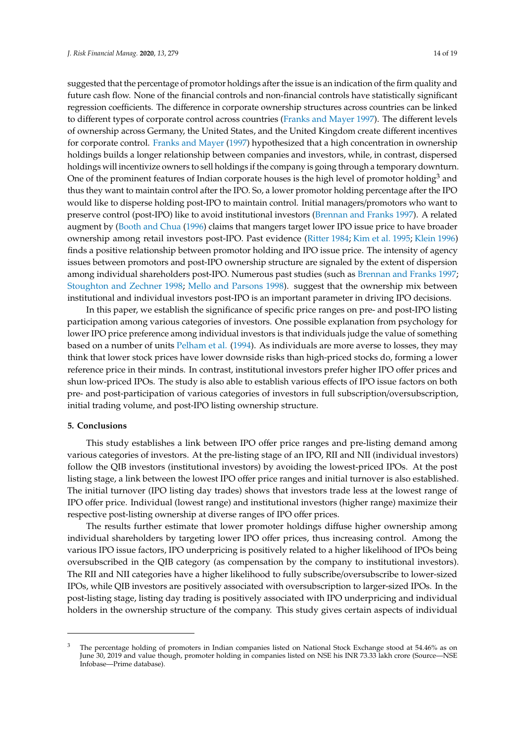suggested that the percentage of promotor holdings after the issue is an indication of the firm quality and future cash flow. None of the financial controls and non-financial controls have statistically significant regression coefficients. The difference in corporate ownership structures across countries can be linked to different types of corporate control across countries (Franks and Mayer 1997). The different levels of ownership across Germany, the United States, and the United Kingdom create different incentives for corporate control. Franks and Mayer (1997) hypothesized that a high concentration in ownership holdings builds a longer relationship between companies and investors, while, in contrast, dispersed holdings will incentivize owners to sell holdings if the company is going through a temporary downturn. One of the prominent features of Indian corporate houses is the high level of promotor holding<sup>3</sup> and thus they want to maintain control after the IPO. So, a lower promotor holding percentage after the IPO would like to disperse holding post-IPO to maintain control. Initial managers/promotors who want to preserve control (post-IPO) like to avoid institutional investors (Brennan and Franks 1997). A related augment by (Booth and Chua (1996) claims that mangers target lower IPO issue price to have broader ownership among retail investors post-IPO. Past evidence (Ritter 1984; Kim et al. 1995; Klein 1996) finds a positive relationship between promotor holding and IPO issue price. The intensity of agency issues between promotors and post-IPO ownership structure are signaled by the extent of dispersion among individual shareholders post-IPO. Numerous past studies (such as Brennan and Franks 1997; Stoughton and Zechner 1998; Mello and Parsons 1998). suggest that the ownership mix between institutional and individual investors post-IPO is an important parameter in driving IPO decisions.

In this paper, we establish the significance of specific price ranges on pre- and post-IPO listing participation among various categories of investors. One possible explanation from psychology for lower IPO price preference among individual investors is that individuals judge the value of something based on a number of units Pelham et al. (1994). As individuals are more averse to losses, they may think that lower stock prices have lower downside risks than high-priced stocks do, forming a lower reference price in their minds. In contrast, institutional investors prefer higher IPO offer prices and shun low-priced IPOs. The study is also able to establish various effects of IPO issue factors on both pre- and post-participation of various categories of investors in full subscription/oversubscription, initial trading volume, and post-IPO listing ownership structure.

#### **5. Conclusions**

This study establishes a link between IPO offer price ranges and pre-listing demand among various categories of investors. At the pre-listing stage of an IPO, RII and NII (individual investors) follow the QIB investors (institutional investors) by avoiding the lowest-priced IPOs. At the post listing stage, a link between the lowest IPO offer price ranges and initial turnover is also established. The initial turnover (IPO listing day trades) shows that investors trade less at the lowest range of IPO offer price. Individual (lowest range) and institutional investors (higher range) maximize their respective post-listing ownership at diverse ranges of IPO offer prices.

The results further estimate that lower promoter holdings diffuse higher ownership among individual shareholders by targeting lower IPO offer prices, thus increasing control. Among the various IPO issue factors, IPO underpricing is positively related to a higher likelihood of IPOs being oversubscribed in the QIB category (as compensation by the company to institutional investors). The RII and NII categories have a higher likelihood to fully subscribe/oversubscribe to lower-sized IPOs, while QIB investors are positively associated with oversubscription to larger-sized IPOs. In the post-listing stage, listing day trading is positively associated with IPO underpricing and individual holders in the ownership structure of the company. This study gives certain aspects of individual

<sup>3</sup> The percentage holding of promoters in Indian companies listed on National Stock Exchange stood at 54.46% as on June 30, 2019 and value though, promoter holding in companies listed on NSE his INR 73.33 lakh crore (Source—NSE Infobase—Prime database).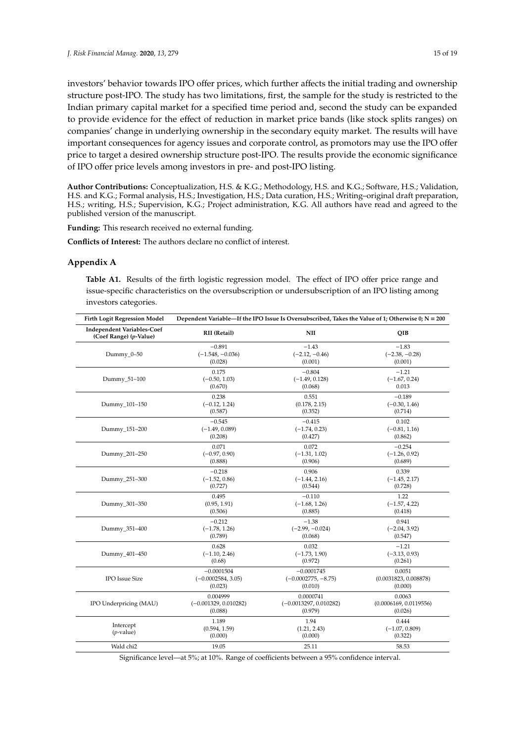investors' behavior towards IPO offer prices, which further affects the initial trading and ownership structure post-IPO. The study has two limitations, first, the sample for the study is restricted to the Indian primary capital market for a specified time period and, second the study can be expanded to provide evidence for the effect of reduction in market price bands (like stock splits ranges) on companies' change in underlying ownership in the secondary equity market. The results will have important consequences for agency issues and corporate control, as promotors may use the IPO offer price to target a desired ownership structure post-IPO. The results provide the economic significance of IPO offer price levels among investors in pre- and post-IPO listing.

**Author Contributions:** Conceptualization, H.S. & K.G.; Methodology, H.S. and K.G.; Software, H.S.; Validation, H.S. and K.G.; Formal analysis, H.S.; Investigation, H.S.; Data curation, H.S.; Writing–original draft preparation, H.S.; writing, H.S.; Supervision, K.G.; Project administration, K.G. All authors have read and agreed to the published version of the manuscript.

**Funding:** This research received no external funding.

**Conflicts of Interest:** The authors declare no conflict of interest.

### **Appendix A**

**Table A1.** Results of the firth logistic regression model. The effect of IPO offer price range and issue-specific characteristics on the oversubscription or undersubscription of an IPO listing among investors categories.

| <b>Firth Logit Regression Model</b>                         |                                   | Dependent Variable—If the IPO Issue Is Oversubscribed, Takes the Value of 1; Otherwise 0; $N = 200$ |                                      |  |
|-------------------------------------------------------------|-----------------------------------|-----------------------------------------------------------------------------------------------------|--------------------------------------|--|
| <b>Independent Variables-Coef</b><br>(Coef Range) (p-Value) | RII (Retail)                      | $\mathbf{N}\mathbf{I}\mathbf{I}$                                                                    | QIB                                  |  |
| Dummy_0-50                                                  | $-0.891$                          | $-1.43$                                                                                             | $-1.83$                              |  |
|                                                             | $(-1.548, -0.036)$                | $(-2.12, -0.46)$                                                                                    | $(-2.38, -0.28)$                     |  |
|                                                             | (0.028)                           | (0.001)                                                                                             | (0.001)                              |  |
| Dummy_51-100                                                | 0.175                             | $-0.804$                                                                                            | $-1.21$                              |  |
|                                                             | $(-0.50, 1.03)$                   | $(-1.49, 0.128)$                                                                                    | $(-1.67, 0.24)$                      |  |
|                                                             | (0.670)                           | (0.068)                                                                                             | 0.013                                |  |
| Dummy_101-150                                               | 0.238                             | 0.551                                                                                               | $-0.189$                             |  |
|                                                             | $(-0.12, 1.24)$                   | (0.178, 2.15)                                                                                       | $(-0.30, 1.46)$                      |  |
|                                                             | (0.587)                           | (0.352)                                                                                             | (0.714)                              |  |
| Dummy_151-200                                               | $-0.545$                          | $-0.415$                                                                                            | 0.102                                |  |
|                                                             | $(-1.49, 0.089)$                  | $(-1.74, 0.23)$                                                                                     | $(-0.81, 1.16)$                      |  |
|                                                             | (0.208)                           | (0.427)                                                                                             | (0.862)                              |  |
| Dummy_201-250                                               | 0.071                             | 0.072                                                                                               | $-0.254$                             |  |
|                                                             | $(-0.97, 0.90)$                   | $(-1.31, 1.02)$                                                                                     | $(-1.26, 0.92)$                      |  |
|                                                             | (0.888)                           | (0.906)                                                                                             | (0.689)                              |  |
| Dummy_251-300                                               | $-0.218$                          | 0.906                                                                                               | 0.339                                |  |
|                                                             | $(-1.52, 0.86)$                   | $(-1.44, 2.16)$                                                                                     | $(-1.45, 2.17)$                      |  |
|                                                             | (0.727)                           | (0.544)                                                                                             | (0.728)                              |  |
| Dummy_301-350                                               | 0.495                             | $-0.110$                                                                                            | 1.22                                 |  |
|                                                             | (0.95, 1.91)                      | $(-1.68, 1.26)$                                                                                     | $(-1.57, 4.22)$                      |  |
|                                                             | (0.506)                           | (0.885)                                                                                             | (0.418)                              |  |
| Dummy_351-400                                               | $-0.212$                          | $-1.38$                                                                                             | 0.941                                |  |
|                                                             | $(-1.78, 1.26)$                   | $(-2.99, -0.024)$                                                                                   | $(-2.04, 3.92)$                      |  |
|                                                             | (0.789)                           | (0.068)                                                                                             | (0.547)                              |  |
| Dummy_401-450                                               | 0.628                             | 0.032                                                                                               | $-1.21$                              |  |
|                                                             | $(-1.10, 2.46)$                   | $(-1.73, 1.90)$                                                                                     | $(-3.13, 0.93)$                      |  |
|                                                             | (0.68)                            | (0.972)                                                                                             | (0.261)                              |  |
| <b>IPO</b> Issue Size                                       | $-0.0001504$                      | $-0.0001745$                                                                                        | 0.0051                               |  |
|                                                             | $(-0.0002584, 3.05)$              | $(-0.0002775, -8.75)$                                                                               | (0.0031823, 0.008878)                |  |
|                                                             | (0.023)                           | (0.010)                                                                                             | (0.000)                              |  |
| IPO Underpricing (MAU)                                      | 0.004999                          | 0.0000741                                                                                           | 0.0063                               |  |
|                                                             | $(-0.001329, 0.010282)$           | $(-0.0013297, 0.010282)$                                                                            | (0.0006169, 0.0119556)               |  |
|                                                             | (0.088)                           | (0.979)                                                                                             | (0.026)                              |  |
| Intercept<br>$(p$ -value)                                   | 1.189<br>(0.594, 1.59)<br>(0.000) | 1.94<br>(1.21, 2.43)<br>(0.000)                                                                     | 0.444<br>$(-1.07, 0.809)$<br>(0.322) |  |
| Wald chi2                                                   | 19.05                             | 25.11                                                                                               | 58.53                                |  |

Significance level—at 5%; at 10%. Range of coefficients between a 95% confidence interval.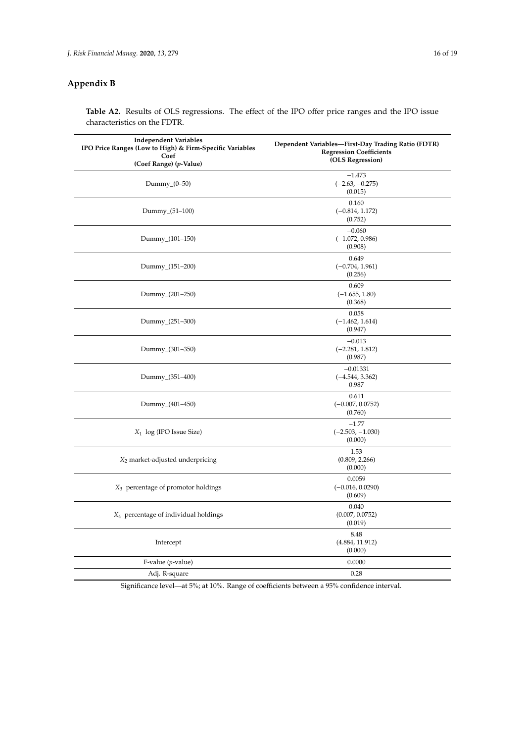## **Appendix B**

**Table A2.** Results of OLS regressions. The effect of the IPO offer price ranges and the IPO issue characteristics on the FDTR.

| <b>Independent Variables</b><br>IPO Price Ranges (Low to High) & Firm-Specific Variables<br>Coef<br>(Coef Range) (p-Value) | Dependent Variables-First-Day Trading Ratio (FDTR)<br><b>Regression Coefficients</b><br>(OLS Regression) |
|----------------------------------------------------------------------------------------------------------------------------|----------------------------------------------------------------------------------------------------------|
| Dummy $(0-50)$                                                                                                             | $-1.473$<br>$(-2.63, -0.275)$<br>(0.015)                                                                 |
| Dummy_(51-100)                                                                                                             | 0.160<br>$(-0.814, 1.172)$<br>(0.752)                                                                    |
| Dummy_(101-150)                                                                                                            | $-0.060$<br>$(-1.072, 0.986)$<br>(0.908)                                                                 |
| Dummy_(151-200)                                                                                                            | 0.649<br>$(-0.704, 1.961)$<br>(0.256)                                                                    |
| Dummy_(201-250)                                                                                                            | 0.609<br>$(-1.655, 1.80)$<br>(0.368)                                                                     |
| Dummy_(251-300)                                                                                                            | 0.058<br>$(-1.462, 1.614)$<br>(0.947)                                                                    |
| Dummy_(301-350)                                                                                                            | $-0.013$<br>$(-2.281, 1.812)$<br>(0.987)                                                                 |
| Dummy_(351-400)                                                                                                            | $-0.01331$<br>$(-4.544, 3.362)$<br>0.987                                                                 |
| Dummy_(401-450)                                                                                                            | 0.611<br>$(-0.007, 0.0752)$<br>(0.760)                                                                   |
| $X_1$ log (IPO Issue Size)                                                                                                 | $-1.77$<br>$(-2.503, -1.030)$<br>(0.000)                                                                 |
| $X_2$ market-adjusted underpricing                                                                                         | 1.53<br>(0.809, 2.266)<br>(0.000)                                                                        |
| $X_3$ percentage of promotor holdings                                                                                      | 0.0059<br>$(-0.016, 0.0290)$<br>(0.609)                                                                  |
| $X_4$ percentage of individual holdings                                                                                    | 0.040<br>(0.007, 0.0752)<br>(0.019)                                                                      |
| Intercept                                                                                                                  | 8.48<br>(4.884, 11.912)<br>(0.000)                                                                       |
| F-value $(p$ -value)                                                                                                       | 0.0000                                                                                                   |
| Adj. R-square                                                                                                              | 0.28                                                                                                     |

Significance level—at 5%; at 10%. Range of coefficients between a 95% confidence interval.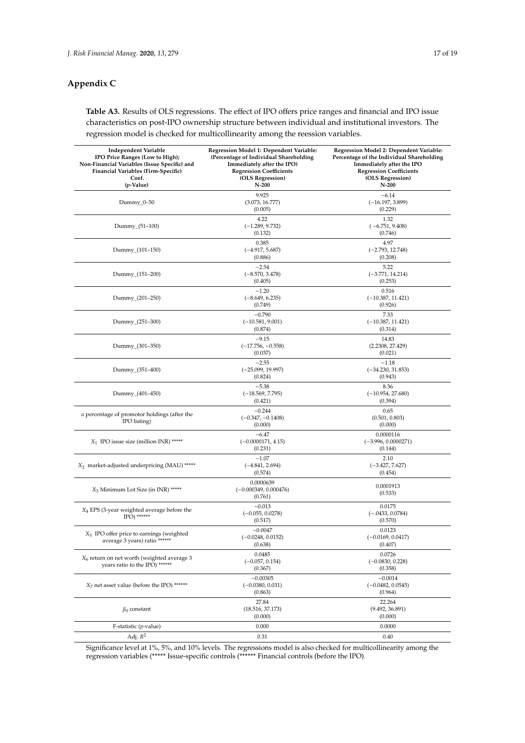### **Appendix C**

**Table A3.** Results of OLS regressions. The effect of IPO offers price ranges and financial and IPO issue characteristics on post-IPO ownership structure between individual and institutional investors. The regression model is checked for multicollinearity among the reession variables.

| <b>Independent Variable</b><br>IPO Price Ranges (Low to High);<br>Non-Financial Variables (Issue Specific) and<br>Financial Variables (Firm-Specific)<br>Coef.<br>(p-Value) | Regression Model 1: Dependent Variable:<br>(Percentage of Individual Shareholding<br>Immediately after the IPO)<br><b>Regression Coefficients</b><br>(OLS Regression)<br>$N-200$ | Regression Model 2: Dependent Variable:<br>Percentage of the Individual Shareholding<br>Immediately after the IPO<br><b>Regression Coefficients</b><br>(OLS Regression)<br>$N-200$ |
|-----------------------------------------------------------------------------------------------------------------------------------------------------------------------------|----------------------------------------------------------------------------------------------------------------------------------------------------------------------------------|------------------------------------------------------------------------------------------------------------------------------------------------------------------------------------|
| $Dummy_0-50$                                                                                                                                                                | 9.925<br>(3.073, 16.777)<br>(0.005)                                                                                                                                              | $-6.14$<br>$(-16.197, 3.899)$<br>(0.229)                                                                                                                                           |
| Dummy_(51-100)                                                                                                                                                              | 4.22<br>$(-1.289, 9.732)$<br>(0.132)                                                                                                                                             | 1.32<br>$(-6.751, 9.408)$<br>(0.746)                                                                                                                                               |
| Dummy_(101-150)                                                                                                                                                             | 0.385<br>$(-4.917, 5.687)$<br>(0.886)                                                                                                                                            | 4.97<br>$(-2.793, 12.748)$<br>(0.208)                                                                                                                                              |
| Dummy_(151-200)                                                                                                                                                             | $-2.54$<br>$(-8.570, 3.478)$<br>(0.405)                                                                                                                                          | 5.22<br>$(-3.771, 14.214)$<br>(0.253)                                                                                                                                              |
| Dummy_(201-250)                                                                                                                                                             | $-1.20$<br>$(-8.649, 6.235)$<br>(0.749)                                                                                                                                          | 0.516<br>$(-10.387, 11.421)$<br>(0.926)                                                                                                                                            |
| Dummy_(251-300)                                                                                                                                                             | $-0.790$<br>$(-10.581, 9.001)$<br>(0.874)                                                                                                                                        | 7.33<br>$(-10.387, 11.421)$<br>(0.314)                                                                                                                                             |
| Dummy_(301-350)                                                                                                                                                             | $-9.15$<br>$(-17.756, -0.558)$<br>(0.037)                                                                                                                                        | 14.83<br>(2.2308, 27.429)<br>(0.021)                                                                                                                                               |
| Dummy_(351-400)                                                                                                                                                             | $-2.55$<br>$(-25.099, 19.997)$<br>(0.824)                                                                                                                                        | $-1.18$<br>$(-34.230, 31.853)$<br>(0.943)                                                                                                                                          |
| Dummy_(401-450)                                                                                                                                                             | $-5.38$<br>$(-18.569, 7.795)$<br>(0.421)                                                                                                                                         | 8.36<br>$(-10.954, 27.680)$<br>(0.394)                                                                                                                                             |
| $\alpha$ percentage of promotor holdings (after the<br>IPO listing)                                                                                                         | $-0.244$<br>$(-0.347, -0.1408)$<br>(0.000)                                                                                                                                       | 0.65<br>(0.501, 0.803)<br>(0.000)                                                                                                                                                  |
| $X_1$ IPO issue size (million INR) *****                                                                                                                                    | $-6.47$<br>$(-0.0000171, 4.15)$<br>(0.231)                                                                                                                                       | 0.0000116<br>$(-3.996, 0.0000271)$<br>(0.144)                                                                                                                                      |
| $X_2$ market-adjusted underpricing (MAU) *****                                                                                                                              | $-1.07$<br>$(-4.841, 2.694)$<br>(0.574)                                                                                                                                          | 2.10<br>$(-3.427, 7.627)$<br>(0.454)                                                                                                                                               |
| X <sub>3</sub> Minimum Lot Size (in INR) *****                                                                                                                              | 0.0000639<br>$(-0.000349, 0.000476)$<br>(0.761)                                                                                                                                  | 0.0001913<br>(0.533)                                                                                                                                                               |
| $X_4$ EPS (3-year weighted average before the<br>$IPO)$ *****                                                                                                               | $-0.013$<br>$(-0.055, 0.0278)$<br>(0.517)                                                                                                                                        | 0.0175<br>$(-.0433, 0.0784)$<br>(0.570)                                                                                                                                            |
| $X_5$ IPO offer price to earnings (weighted<br>average 3 years) ratio                                                                                                       | $-0.0047$<br>$(-0.0248, 0.0152)$<br>(0.638)                                                                                                                                      | 0.0123<br>$(-0.0169, 0.0417)$<br>(0.407)                                                                                                                                           |
| $X_6$ return on net worth (weighted average 3<br>years ratio to the IPO) ******                                                                                             | 0.0485<br>$(-0.057, 0.154)$<br>(0.367)                                                                                                                                           | 0.0726<br>$(-0.0830, 0.228)$<br>(0.358)                                                                                                                                            |
| X <sub>7</sub> net asset value (before the IPO) ******                                                                                                                      | $-0.00305$<br>$(-0.0380, 0.031)$<br>(0.863)                                                                                                                                      | $-0.0014$<br>$(-0.0482, 0.0545)$<br>(0.964)                                                                                                                                        |
| $\beta_0$ constant                                                                                                                                                          | 27.84<br>(18.516, 37.173)<br>(0.000)                                                                                                                                             | 22.264<br>(9.492, 36.891)<br>(0.000)                                                                                                                                               |
| F-statistic $(p$ -value)                                                                                                                                                    | 0.000                                                                                                                                                                            | 0.0000                                                                                                                                                                             |
| Adj. $R^2$                                                                                                                                                                  | 0.31                                                                                                                                                                             | 0.40                                                                                                                                                                               |

Significance level at 1%, 5%, and 10% levels. The regressions model is also checked for multicollinearity among the regression variables (\*\*\*\*\* Issue-specific controls (\*\*\*\*\*\* Financial controls (before the IPO).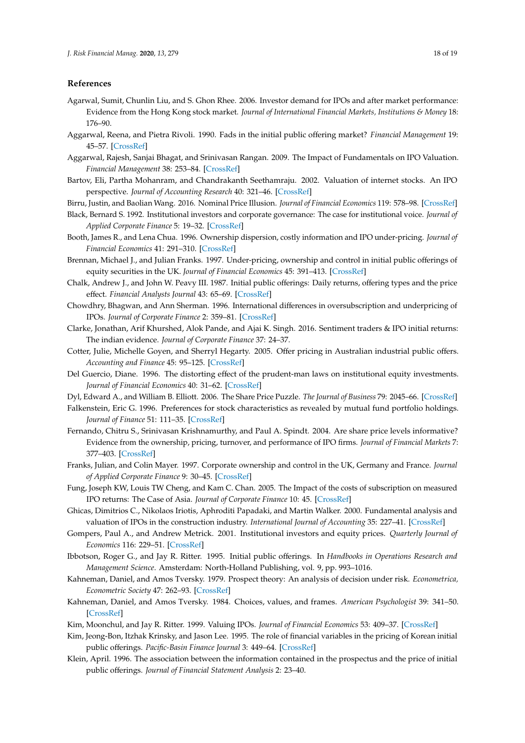#### **References**

- Agarwal, Sumit, Chunlin Liu, and S. Ghon Rhee. 2006. Investor demand for IPOs and after market performance: Evidence from the Hong Kong stock market. *Journal of International Financial Markets, Institutions & Money* 18: 176–90.
- Aggarwal, Reena, and Pietra Rivoli. 1990. Fads in the initial public offering market? *Financial Management* 19: 45–57. [CrossRef]
- Aggarwal, Rajesh, Sanjai Bhagat, and Srinivasan Rangan. 2009. The Impact of Fundamentals on IPO Valuation. *Financial Management* 38: 253–84. [CrossRef]
- Bartov, Eli, Partha Mohanram, and Chandrakanth Seethamraju. 2002. Valuation of internet stocks. An IPO perspective. *Journal of Accounting Research* 40: 321–46. [CrossRef]
- Birru, Justin, and Baolian Wang. 2016. Nominal Price Illusion. *Journal of Financial Economics* 119: 578–98. [CrossRef]
- Black, Bernard S. 1992. Institutional investors and corporate governance: The case for institutional voice. *Journal of Applied Corporate Finance* 5: 19–32. [CrossRef]
- Booth, James R., and Lena Chua. 1996. Ownership dispersion, costly information and IPO under-pricing. *Journal of Financial Economics* 41: 291–310. [CrossRef]
- Brennan, Michael J., and Julian Franks. 1997. Under-pricing, ownership and control in initial public offerings of equity securities in the UK. *Journal of Financial Economics* 45: 391–413. [CrossRef]
- Chalk, Andrew J., and John W. Peavy III. 1987. Initial public offerings: Daily returns, offering types and the price effect. *Financial Analysts Journal* 43: 65–69. [CrossRef]
- Chowdhry, Bhagwan, and Ann Sherman. 1996. International differences in oversubscription and underpricing of IPOs. *Journal of Corporate Finance* 2: 359–81. [CrossRef]
- Clarke, Jonathan, Arif Khurshed, Alok Pande, and Ajai K. Singh. 2016. Sentiment traders & IPO initial returns: The indian evidence. *Journal of Corporate Finance* 37: 24–37.
- Cotter, Julie, Michelle Goyen, and Sherryl Hegarty. 2005. Offer pricing in Australian industrial public offers. *Accounting and Finance* 45: 95–125. [CrossRef]
- Del Guercio, Diane. 1996. The distorting effect of the prudent-man laws on institutional equity investments. *Journal of Financial Economics* 40: 31–62. [CrossRef]
- Dyl, Edward A., and William B. Elliott. 2006. The Share Price Puzzle. *The Journal of Business* 79: 2045–66. [CrossRef]
- Falkenstein, Eric G. 1996. Preferences for stock characteristics as revealed by mutual fund portfolio holdings. *Journal of Finance* 51: 111–35. [CrossRef]
- Fernando, Chitru S., Srinivasan Krishnamurthy, and Paul A. Spindt. 2004. Are share price levels informative? Evidence from the ownership, pricing, turnover, and performance of IPO firms. *Journal of Financial Markets* 7: 377–403. [CrossRef]
- Franks, Julian, and Colin Mayer. 1997. Corporate ownership and control in the UK, Germany and France. *Journal of Applied Corporate Finance* 9: 30–45. [CrossRef]
- Fung, Joseph KW, Louis TW Cheng, and Kam C. Chan. 2005. The Impact of the costs of subscription on measured IPO returns: The Case of Asia. *Journal of Corporate Finance* 10: 45. [CrossRef]
- Ghicas, Dimitrios C., Nikolaos Iriotis, Aphroditi Papadaki, and Martin Walker. 2000. Fundamental analysis and valuation of IPOs in the construction industry. *International Journal of Accounting* 35: 227–41. [CrossRef]
- Gompers, Paul A., and Andrew Metrick. 2001. Institutional investors and equity prices. *Quarterly Journal of Economics* 116: 229–51. [CrossRef]
- Ibbotson, Roger G., and Jay R. Ritter. 1995. Initial public offerings. In *Handbooks in Operations Research and Management Science*. Amsterdam: North-Holland Publishing, vol. 9, pp. 993–1016.
- Kahneman, Daniel, and Amos Tversky. 1979. Prospect theory: An analysis of decision under risk. *Econometrica, Econometric Society* 47: 262–93. [CrossRef]
- Kahneman, Daniel, and Amos Tversky. 1984. Choices, values, and frames. *American Psychologist* 39: 341–50. [CrossRef]
- Kim, Moonchul, and Jay R. Ritter. 1999. Valuing IPOs. *Journal of Financial Economics* 53: 409–37. [CrossRef]
- Kim, Jeong-Bon, Itzhak Krinsky, and Jason Lee. 1995. The role of financial variables in the pricing of Korean initial public offerings. *Pacific-Basin Finance Journal* 3: 449–64. [CrossRef]
- Klein, April. 1996. The association between the information contained in the prospectus and the price of initial public offerings. *Journal of Financial Statement Analysis* 2: 23–40.